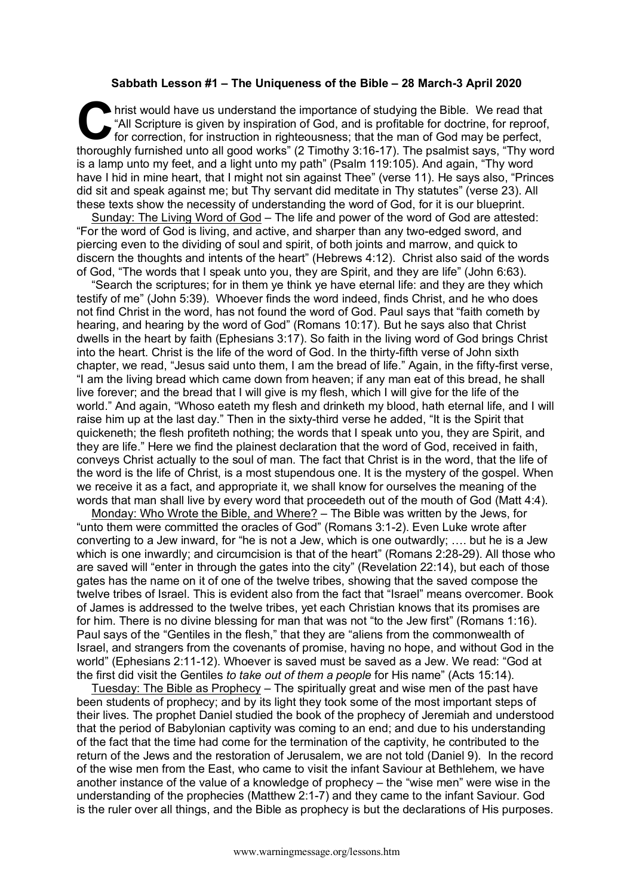## **Sabbath Lesson #1 – The Uniqueness of the Bible – 28 March-3 April 2020**

hrist would have us understand the importance of studying the Bible. We read that "All Scripture is given by inspiration of God, and is profitable for doctrine, for reproof, for correction, for instruction in righteousness; that the man of God may be perfect, It is thoroughly furnished unto all good works" (2 Timothy 3:16-17). The psalmist says, "Thy word all good works" (2 Timothy 3:16-17). The psalmist says, "Thy word is a lamp unto my feet, and a light unto my path" (Psalm 119:105). And again, "Thy word have I hid in mine heart, that I might not sin against Thee" (verse 11). He says also, "Princes did sit and speak against me; but Thy servant did meditate in Thy statutes" (verse 23). All these texts show the necessity of understanding the word of God, for it is our blueprint.

Sunday: The Living Word of God – The life and power of the word of God are attested: "For the word of God is living, and active, and sharper than any two-edged sword, and piercing even to the dividing of soul and spirit, of both joints and marrow, and quick to discern the thoughts and intents of the heart" (Hebrews 4:12). Christ also said of the words of God, "The words that I speak unto you, they are Spirit, and they are life" (John 6:63).

"Search the scriptures; for in them ye think ye have eternal life: and they are they which testify of me" (John 5:39). Whoever finds the word indeed, finds Christ, and he who does not find Christ in the word, has not found the word of God. Paul says that "faith cometh by hearing, and hearing by the word of God" (Romans 10:17). But he says also that Christ dwells in the heart by faith (Ephesians 3:17). So faith in the living word of God brings Christ into the heart. Christ is the life of the word of God. In the thirty-fifth verse of John sixth chapter, we read, "Jesus said unto them, I am the bread of life." Again, in the fifty-first verse, "I am the living bread which came down from heaven; if any man eat of this bread, he shall live forever; and the bread that I will give is my flesh, which I will give for the life of the world." And again, "Whoso eateth my flesh and drinketh my blood, hath eternal life, and I will raise him up at the last day." Then in the sixty-third verse he added, "It is the Spirit that quickeneth; the flesh profiteth nothing; the words that I speak unto you, they are Spirit, and they are life." Here we find the plainest declaration that the word of God, received in faith, conveys Christ actually to the soul of man. The fact that Christ is in the word, that the life of the word is the life of Christ, is a most stupendous one. It is the mystery of the gospel. When we receive it as a fact, and appropriate it, we shall know for ourselves the meaning of the words that man shall live by every word that proceedeth out of the mouth of God (Matt 4:4).

Monday: Who Wrote the Bible, and Where? – The Bible was written by the Jews, for "unto them were committed the oracles of God" (Romans 3:1-2). Even Luke wrote after converting to a Jew inward, for "he is not a Jew, which is one outwardly; …. but he is a Jew which is one inwardly; and circumcision is that of the heart" (Romans 2:28-29). All those who are saved will "enter in through the gates into the city" (Revelation 22:14), but each of those gates has the name on it of one of the twelve tribes, showing that the saved compose the twelve tribes of Israel. This is evident also from the fact that "Israel" means overcomer. Book of James is addressed to the twelve tribes, yet each Christian knows that its promises are for him. There is no divine blessing for man that was not "to the Jew first" (Romans 1:16). Paul says of the "Gentiles in the flesh," that they are "aliens from the commonwealth of Israel, and strangers from the covenants of promise, having no hope, and without God in the world" (Ephesians 2:11-12). Whoever is saved must be saved as a Jew. We read: "God at the first did visit the Gentiles *to take out of them a people* for His name" (Acts 15:14).

Tuesday: The Bible as Prophecy – The spiritually great and wise men of the past have been students of prophecy; and by its light they took some of the most important steps of their lives. The prophet Daniel studied the book of the prophecy of Jeremiah and understood that the period of Babylonian captivity was coming to an end; and due to his understanding of the fact that the time had come for the termination of the captivity, he contributed to the return of the Jews and the restoration of Jerusalem, we are not told (Daniel 9). In the record of the wise men from the East, who came to visit the infant Saviour at Bethlehem, we have another instance of the value of a knowledge of prophecy – the "wise men" were wise in the understanding of the prophecies (Matthew 2:1-7) and they came to the infant Saviour. God is the ruler over all things, and the Bible as prophecy is but the declarations of His purposes.